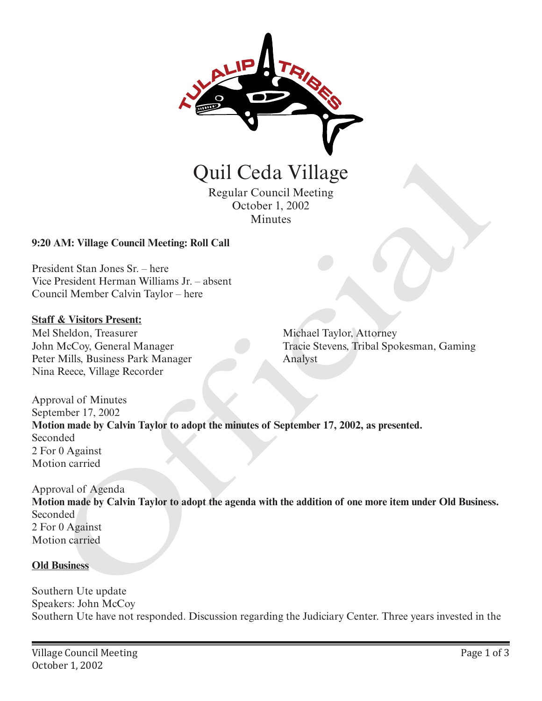

Regular Council Meeting October 1, 2002 Minutes

# **9:20 AM: Village Council Meeting: Roll Call**

President Stan Jones Sr. – here Vice President Herman Williams Jr. – absent Council Member Calvin Taylor – here

### **Staff & Visitors Present:**

Mel Sheldon, Treasurer John McCoy, General Manager Peter Mills, Business Park Manager Nina Reece, Village Recorder

Michael Taylor, Attorney Tracie Stevens, Tribal Spokesman, Gaming Analyst

Approval of Minutes September 17, 2002 **Motion made by Calvin Taylor to adopt the minutes of September 17, 2002, as presented.** Seconded 2 For 0 Against Motion carried

Approval of Agenda **Motion made by Calvin Taylor to adopt the agenda with the addition of one more item under Old Business.** Seconded 2 For 0 Against Motion carried Quil Ceda Village<br>
Regular Council Meeting<br>
Cetober 1, 2002<br>
Minutes<br>
AM: Village Council Meeting: Roll Call<br>
dent Stan Jones Sr. – here<br>
President Herman Williams Jr. – absent<br>
record Member Calvin Taylori – here<br>
Xeco, G

#### **Old Business**

Southern Ute update Speakers: John McCoy Southern Ute have not responded. Discussion regarding the Judiciary Center. Three years invested in the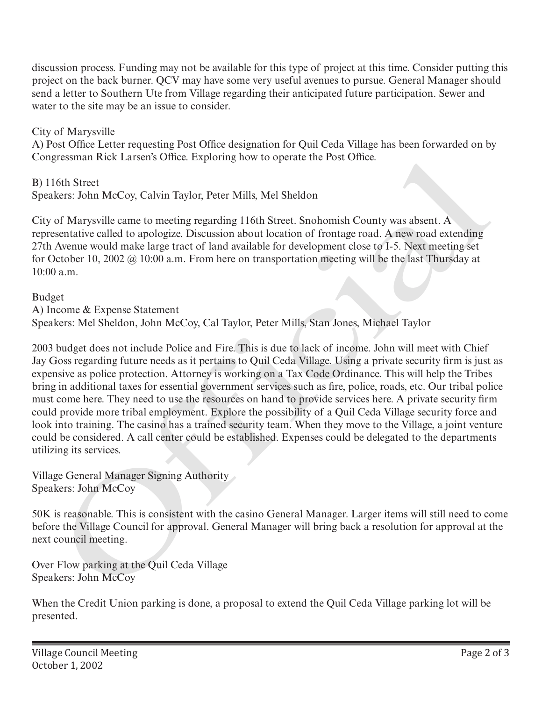discussion process. Funding may not be available for this type of project at this time. Consider putting this project on the back burner. QCV may have some very useful avenues to pursue. General Manager should send a letter to Southern Ute from Village regarding their anticipated future participation. Sewer and water to the site may be an issue to consider.

City of Marysville

A) Post Office Letter requesting Post Office designation for Quil Ceda Village has been forwarded on by Congressman Rick Larsen's Office. Exploring how to operate the Post Office.

B) 116th Street Speakers: John McCoy, Calvin Taylor, Peter Mills, Mel Sheldon

City of Marysville came to meeting regarding 116th Street. Snohomish County was absent. A representative called to apologize. Discussion about location of frontage road. A new road extending 27th Avenue would make large tract of land available for development close to I-5. Next meeting set for October 10, 2002 @ 10:00 a.m. From here on transportation meeting will be the last Thursday at 10:00 a.m.

Budget A) Income & Expense Statement Speakers: Mel Sheldon, John McCoy, Cal Taylor, Peter Mills, Stan Jones, Michael Taylor

2003 budget does not include Police and Fire. This is due to lack of income. John will meet with Chief Jay Goss regarding future needs as it pertains to Quil Ceda Village. Using a private security firm is just as expensive as police protection. Attorney is working on a Tax Code Ordinance. This will help the Tribes bring in additional taxes for essential government services such as fire, police, roads, etc. Our tribal police must come here. They need to use the resources on hand to provide services here. A private security firm could provide more tribal employment. Explore the possibility of a Quil Ceda Village security force and look into training. The casino has a trained security team. When they move to the Village, a joint venture could be considered. A call center could be established. Expenses could be delegated to the departments utilizing its services. gressman Kick Larsen's Omea. Exploring now to operate the lost Omea.<br>
Iofi Strett<br>
doin Strett<br>
Sterst John McCoy, Calvin Taylor, Peter Mills, Mel Sheldon<br>
of Maryswille came to meeting regarding 116th Street. Snohomish Co

Village General Manager Signing Authority Speakers: John McCoy

50K is reasonable. This is consistent with the casino General Manager. Larger items will still need to come before the Village Council for approval. General Manager will bring back a resolution for approval at the next council meeting.

Over Flow parking at the Quil Ceda Village Speakers: John McCoy

When the Credit Union parking is done, a proposal to extend the Quil Ceda Village parking lot will be presented.